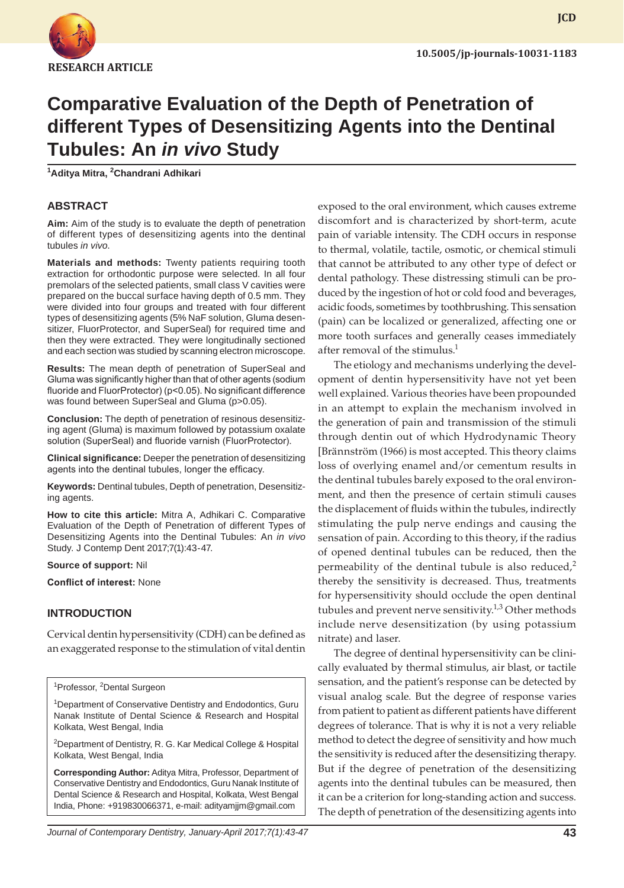

**JCD**

# **Comparative Evaluation of the Depth of Penetration of different Types of Desensitizing Agents into the Dentinal Tubules: An** *in vivo* **Study**

**1 Aditya Mitra, 2 Chandrani Adhikari**

## **ABSTRACT**

**Aim:** Aim of the study is to evaluate the depth of penetration of different types of desensitizing agents into the dentinal tubules *in vivo*.

**Materials and methods:** Twenty patients requiring tooth extraction for orthodontic purpose were selected. In all four premolars of the selected patients, small class V cavities were prepared on the buccal surface having depth of 0.5 mm. They were divided into four groups and treated with four different types of desensitizing agents (5% NaF solution, Gluma desensitizer, FluorProtector, and SuperSeal) for required time and then they were extracted. They were longitudinally sectioned and each section was studied by scanning electron microscope.

**Results:** The mean depth of penetration of SuperSeal and Gluma was significantly higher than that of other agents (sodium fluoride and FluorProtector) (p<0.05). No significant difference was found between SuperSeal and Gluma (p>0.05).

**Conclusion:** The depth of penetration of resinous desensitizing agent (Gluma) is maximum followed by potassium oxalate solution (SuperSeal) and fluoride varnish (FluorProtector).

**Clinical significance:** Deeper the penetration of desensitizing agents into the dentinal tubules, longer the efficacy.

**Keywords:** Dentinal tubules, Depth of penetration, Desensitizing agents.

**How to cite this article:** Mitra A, Adhikari C. Comparative Evaluation of the Depth of Penetration of different Types of Desensitizing Agents into the Dentinal Tubules: An *in vivo* Study. J Contemp Dent 2017;7(1):43-47.

**Source of support:** Nil

**Conflict of interest:** None

## **INTRODUCTION**

Cervical dentin hypersensitivity (CDH) can be defined as an exaggerated response to the stimulation of vital dentin

<sup>1</sup> Professor, <sup>2</sup> Dental Surgeon

<sup>1</sup>Department of Conservative Dentistry and Endodontics, Guru Nanak Institute of Dental Science & Research and Hospital Kolkata, West Bengal, India

<sup>2</sup>Department of Dentistry, R. G. Kar Medical College & Hospital Kolkata, West Bengal, India

**Corresponding Author:** Aditya Mitra, Professor, Department of Conservative Dentistry and Endodontics, Guru Nanak Institute of Dental Science & Research and Hospital, Kolkata, West Bengal India, Phone: +919830066371, e-mail: adityamjjm@gmail.com

exposed to the oral environment, which causes extreme discomfort and is characterized by short-term, acute pain of variable intensity. The CDH occurs in response to thermal, volatile, tactile, osmotic, or chemical stimuli that cannot be attributed to any other type of defect or dental pathology. These distressing stimuli can be produced by the ingestion of hot or cold food and beverages, acidic foods, sometimes by toothbrushing. This sensation (pain) can be localized or generalized, affecting one or more tooth surfaces and generally ceases immediately after removal of the stimulus.<sup>1</sup>

The etiology and mechanisms underlying the development of dentin hypersensitivity have not yet been well explained. Various theories have been propounded in an attempt to explain the mechanism involved in the generation of pain and transmission of the stimuli through dentin out of which Hydrodynamic Theory [Brännström (1966) is most accepted. This theory claims loss of overlying enamel and/or cementum results in the dentinal tubules barely exposed to the oral environment, and then the presence of certain stimuli causes the displacement of fluids within the tubules, indirectly stimulating the pulp nerve endings and causing the sensation of pain. According to this theory, if the radius of opened dentinal tubules can be reduced, then the permeability of the dentinal tubule is also reduced,<sup>2</sup> thereby the sensitivity is decreased. Thus, treatments for hypersensitivity should occlude the open dentinal tubules and prevent nerve sensitivity.<sup>1,3</sup> Other methods include nerve desensitization (by using potassium nitrate) and laser.

The degree of dentinal hypersensitivity can be clinically evaluated by thermal stimulus, air blast, or tactile sensation, and the patient's response can be detected by visual analog scale. But the degree of response varies from patient to patient as different patients have different degrees of tolerance. That is why it is not a very reliable method to detect the degree of sensitivity and how much the sensitivity is reduced after the desensitizing therapy. But if the degree of penetration of the desensitizing agents into the dentinal tubules can be measured, then it can be a criterion for long-standing action and success. The depth of penetration of the desensitizing agents into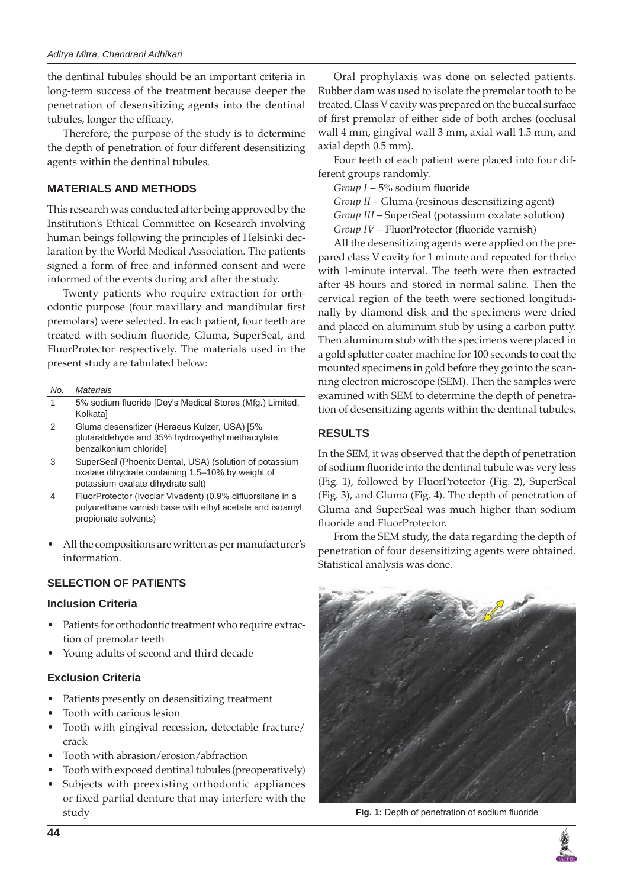the dentinal tubules should be an important criteria in long-term success of the treatment because deeper the penetration of desensitizing agents into the dentinal tubules, longer the efficacy.

Therefore, the purpose of the study is to determine the depth of penetration of four different desensitizing agents within the dentinal tubules.

## **MATERIALS AND METHODS**

This research was conducted after being approved by the Institution's Ethical Committee on Research involving human beings following the principles of Helsinki declaration by the World Medical Association. The patients signed a form of free and informed consent and were informed of the events during and after the study.

Twenty patients who require extraction for orthodontic purpose (four maxillary and mandibular first premolars) were selected. In each patient, four teeth are treated with sodium fluoride, Gluma, SuperSeal, and FluorProtector respectively. The materials used in the present study are tabulated below:

| No. | <b>Materials</b>                                                                                                                                 |
|-----|--------------------------------------------------------------------------------------------------------------------------------------------------|
| 1   | 5% sodium fluoride [Dey's Medical Stores (Mfg.) Limited,<br>Kolkata]                                                                             |
| 2   | Gluma desensitizer (Heraeus Kulzer, USA) [5%<br>glutaraldehyde and 35% hydroxyethyl methacrylate,<br>benzalkonium chloride]                      |
| З   | SuperSeal (Phoenix Dental, USA) (solution of potassium<br>oxalate dihydrate containing 1.5-10% by weight of<br>potassium oxalate dihydrate salt) |
|     | FluorProtector (Ivoclar Vivadent) (0.9% difluorsilane in a                                                                                       |

polyurethane varnish base with ethyl acetate and isoamyl propionate solvents)

All the compositions are written as per manufacturer's information.

# **SELECTION OF PATIENTS**

## **Inclusion Criteria**

- Patients for orthodontic treatment who require extraction of premolar teeth
- Young adults of second and third decade

## **Exclusion Criteria**

- Patients presently on desensitizing treatment
- Tooth with carious lesion
- Tooth with gingival recession, detectable fracture/ crack
- Tooth with abrasion/erosion/abfraction
- Tooth with exposed dentinal tubules (preoperatively)
- Subjects with preexisting orthodontic appliances or fixed partial denture that may interfere with the study

Oral prophylaxis was done on selected patients. Rubber dam was used to isolate the premolar tooth to be treated. Class V cavity was prepared on the buccal surface of first premolar of either side of both arches (occlusal wall 4 mm, gingival wall 3 mm, axial wall 1.5 mm, and axial depth 0.5 mm).

Four teeth of each patient were placed into four different groups randomly.

*Group I* − 5% sodium fluoride

*Group II* – Gluma (resinous desensitizing agent) *Group III* – SuperSeal (potassium oxalate solution) *Group IV* – FluorProtector (fluoride varnish)

All the desensitizing agents were applied on the prepared class V cavity for 1 minute and repeated for thrice with 1-minute interval. The teeth were then extracted after 48 hours and stored in normal saline. Then the cervical region of the teeth were sectioned longitudinally by diamond disk and the specimens were dried and placed on aluminum stub by using a carbon putty. Then aluminum stub with the specimens were placed in a gold splutter coater machine for 100 seconds to coat the mounted specimens in gold before they go into the scanning electron microscope (SEM). Then the samples were examined with SEM to determine the depth of penetration of desensitizing agents within the dentinal tubules.

# **RESULTS**

In the SEM, it was observed that the depth of penetration of sodium fluoride into the dentinal tubule was very less (Fig. 1), followed by FluorProtector (Fig. 2), SuperSeal (Fig. 3), and Gluma (Fig. 4). The depth of penetration of Gluma and SuperSeal was much higher than sodium fluoride and FluorProtector.

From the SEM study, the data regarding the depth of penetration of four desensitizing agents were obtained. Statistical analysis was done.



**Fig. 1:** Depth of penetration of sodium fluoride

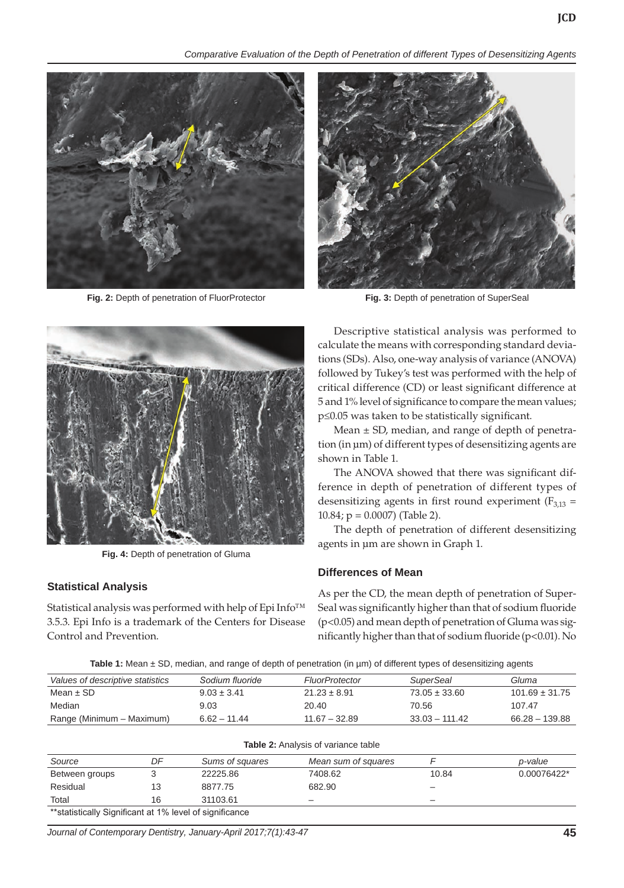*Comparative Evaluation of the Depth of Penetration of different Types of Desensitizing Agents*



**Fig. 2:** Depth of penetration of FluorProtector **Fig. 3:** Depth of penetration of SuperSeal





**Fig. 4:** Depth of penetration of Gluma

## **Statistical Analysis**

Statistical analysis was performed with help of Epi Info™ 3.5.3. Epi Info is a trademark of the Centers for Disease Control and Prevention.

Descriptive statistical analysis was performed to calculate the means with corresponding standard deviations (SDs). Also, one-way analysis of variance (ANOVA) followed by Tukey's test was performed with the help of critical difference (CD) or least significant difference at 5 and 1% level of significance to compare the mean values; p≤0.05 was taken to be statistically significant.

Mean  $\pm$  SD, median, and range of depth of penetration (in µm) of different types of desensitizing agents are shown in Table 1.

The ANOVA showed that there was significant difference in depth of penetration of different types of desensitizing agents in first round experiment ( $F_{3,13}$  = 10.84; p = 0.0007) (Table 2).

The depth of penetration of different desensitizing agents in µm are shown in Graph 1.

#### **Differences of Mean**

As per the CD, the mean depth of penetration of Super-Seal was significantly higher than that of sodium fluoride (p<0.05) and mean depth of penetration of Gluma was significantly higher than that of sodium fluoride (p<0.01). No

**Table 1:** Mean  $\pm$  SD, median, and range of depth of penetration (in um) of different types of desensitizing agents

| Values of descriptive statistics | Sodium fluoride | <b>FluorProtector</b> | <i>SuperSeal</i>  | Gluma              |
|----------------------------------|-----------------|-----------------------|-------------------|--------------------|
| Mean $\pm$ SD                    | $9.03 \pm 3.41$ | $21.23 \pm 8.91$      | $73.05 \pm 33.60$ | $101.69 \pm 31.75$ |
| Median                           | 9.03            | 20.40                 | 70.56             | 107.47             |
| Range (Minimum – Maximum)        | $6.62 - 11.44$  | $11.67 - 32.89$       | $33.03 - 111.42$  | $66.28 - 139.88$   |

| <b>Table 2:</b> Analysis of variance table               |    |                 |                     |                          |             |  |  |
|----------------------------------------------------------|----|-----------------|---------------------|--------------------------|-------------|--|--|
| Source                                                   | DF | Sums of squares | Mean sum of squares |                          | p-value     |  |  |
| Between groups                                           |    | 22225.86        | 7408.62             | 10.84                    | 0.00076422* |  |  |
| Residual                                                 | 13 | 8877.75         | 682.90              | -                        |             |  |  |
| Total                                                    | 16 | 31103.61        | -                   | $\overline{\phantom{0}}$ |             |  |  |
| ** statistically Significant at 1% level of significance |    |                 |                     |                          |             |  |  |

*Journal of Contemporary Dentistry, January-April 2017;7(1):43-47* **45**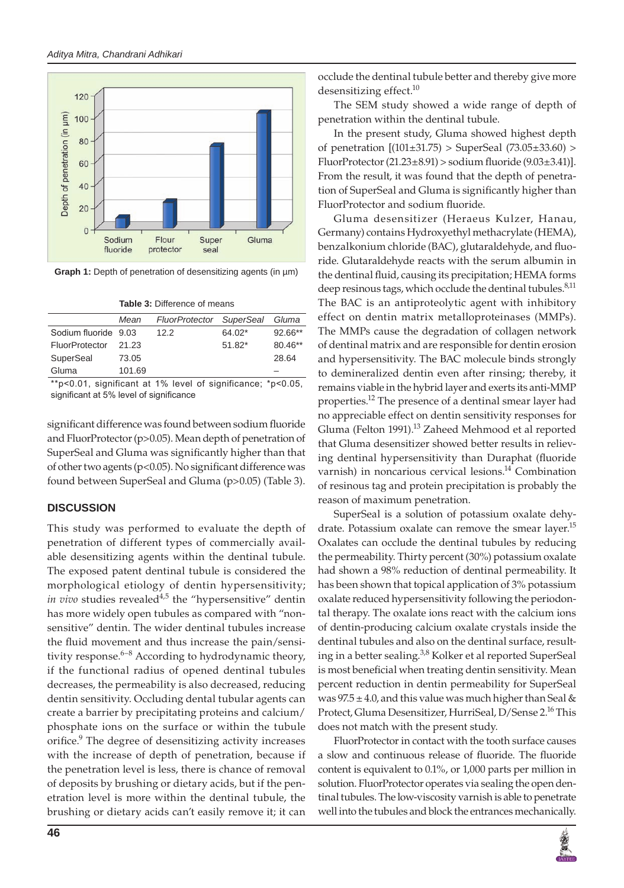

**Graph 1:** Depth of penetration of desensitizing agents (in µm)

|                      | Mean   | <b>FluorProtector</b> | <b>SuperSeal</b> | Gluma     |
|----------------------|--------|-----------------------|------------------|-----------|
| Sodium fluoride 9.03 |        | 12.2                  | $64.02*$         | $92.66**$ |
| FluorProtector       | 21.23  |                       | $51.82*$         | $80.46**$ |
| SuperSeal            | 73.05  |                       |                  | 28.64     |
| Gluma                | 101.69 |                       |                  |           |

\*\*p<0.01, significant at 1% level of significance; \*p<0.05, significant at 5% level of significance

significant difference was found between sodium fluoride and FluorProtector (p>0.05). Mean depth of penetration of SuperSeal and Gluma was significantly higher than that of other two agents (p<0.05). No significant difference was found between SuperSeal and Gluma (p>0.05) (Table 3).

## **DISCUSSION**

This study was performed to evaluate the depth of penetration of different types of commercially available desensitizing agents within the dentinal tubule. The exposed patent dentinal tubule is considered the morphological etiology of dentin hypersensitivity; *in vivo* studies revealed<sup>4,5</sup> the "hypersensitive" dentin has more widely open tubules as compared with "nonsensitive" dentin. The wider dentinal tubules increase the fluid movement and thus increase the pain/sensitivity response. $6-8$  According to hydrodynamic theory, if the functional radius of opened dentinal tubules decreases, the permeability is also decreased, reducing dentin sensitivity. Occluding dental tubular agents can create a barrier by precipitating proteins and calcium/ phosphate ions on the surface or within the tubule orifice.<sup>9</sup> The degree of desensitizing activity increases with the increase of depth of penetration, because if the penetration level is less, there is chance of removal of deposits by brushing or dietary acids, but if the penetration level is more within the dentinal tubule, the brushing or dietary acids can't easily remove it; it can

occlude the dentinal tubule better and thereby give more desensitizing effect.<sup>10</sup>

The SEM study showed a wide range of depth of penetration within the dentinal tubule.

In the present study, Gluma showed highest depth of penetration  $[(101 \pm 31.75) >$  SuperSeal  $(73.05 \pm 33.60) >$ FluorProtector  $(21.23\pm8.91)$  > sodium fluoride  $(9.03\pm3.41)$ ]. From the result, it was found that the depth of penetration of SuperSeal and Gluma is significantly higher than FluorProtector and sodium fluoride.

Gluma desensitizer (Heraeus Kulzer, Hanau, Germany) contains Hydroxyethyl methacrylate (HEMA), benzalkonium chloride (BAC), glutaraldehyde, and fluoride. Glutaraldehyde reacts with the serum albumin in the dentinal fluid, causing its precipitation; HEMA forms deep resinous tags, which occlude the dentinal tubules.<sup>8,11</sup> The BAC is an antiproteolytic agent with inhibitory effect on dentin matrix metalloproteinases (MMPs). The MMPs cause the degradation of collagen network of dentinal matrix and are responsible for dentin erosion and hypersensitivity. The BAC molecule binds strongly to demineralized dentin even after rinsing; thereby, it remains viable in the hybrid layer and exerts its anti-MMP properties.<sup>12</sup> The presence of a dentinal smear layer had no appreciable effect on dentin sensitivity responses for Gluma (Felton 1991).<sup>13</sup> Zaheed Mehmood et al reported that Gluma desensitizer showed better results in relieving dentinal hypersensitivity than Duraphat (fluoride varnish) in noncarious cervical lesions.<sup>14</sup> Combination of resinous tag and protein precipitation is probably the reason of maximum penetration.

SuperSeal is a solution of potassium oxalate dehydrate. Potassium oxalate can remove the smear layer.<sup>15</sup> Oxalates can occlude the dentinal tubules by reducing the permeability. Thirty percent (30%) potassium oxalate had shown a 98% reduction of dentinal permeability. It has been shown that topical application of 3% potassium oxalate reduced hypersensitivity following the periodontal therapy. The oxalate ions react with the calcium ions of dentin-producing calcium oxalate crystals inside the dentinal tubules and also on the dentinal surface, resulting in a better sealing.<sup>3,8</sup> Kolker et al reported SuperSeal is most beneficial when treating dentin sensitivity. Mean percent reduction in dentin permeability for SuperSeal was  $97.5 \pm 4.0$ , and this value was much higher than Seal & Protect, Gluma Desensitizer, HurriSeal, D/Sense 2.<sup>16</sup> This does not match with the present study.

FluorProtector in contact with the tooth surface causes a slow and continuous release of fluoride. The fluoride content is equivalent to 0.1%, or 1,000 parts per million in solution. FluorProtector operates via sealing the open dentinal tubules. The low-viscosity varnish is able to penetrate well into the tubules and block the entrances mechanically.